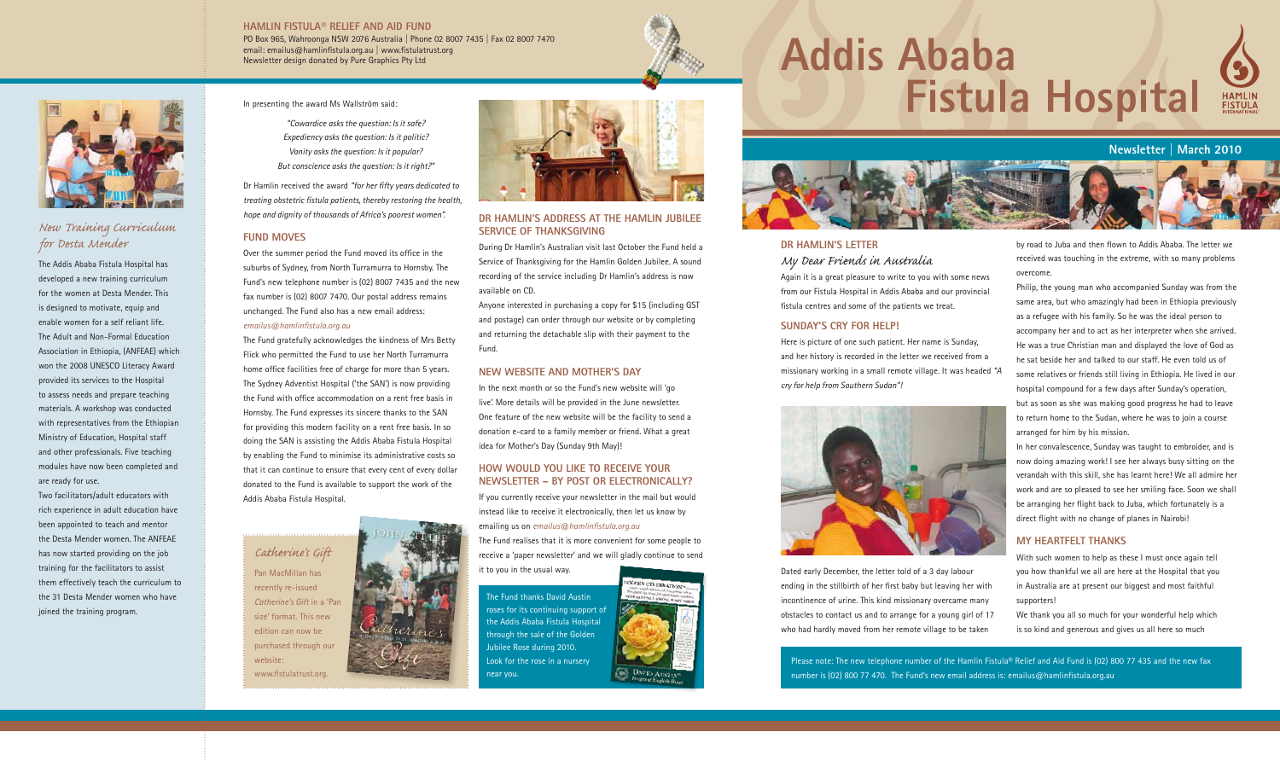# **Addis Ababa Fistula Hospital**



# **Newsletter | March 2010**



# **Dr Hamlin's letter** *My Dear Friends in Australia*

Again it is a great pleasure to write to you with some news from our Fistula Hospital in Addis Ababa and our provincial fistula centres and some of the patients we treat.

#### **Sunday's cry for help!**

Here is picture of one such patient. Her name is Sunday, and her history is recorded in the letter we received from a missionary working in a small remote village. It was headed *"A cry for help from Southern Sudan"!*



Dated early December, the letter told of a 3 day labour ending in the stillbirth of her first baby but leaving her with incontinence of urine. This kind missionary overcame many obstacles to contact us and to arrange for a young girl of 17 who had hardly moved from her remote village to be taken

by road to Juba and then flown to Addis Ababa. The letter we received was touching in the extreme, with so many problems overcome.

Philip, the young man who accompanied Sunday was from the same area, but who amazingly had been in Ethiopia previously as a refugee with his family. So he was the ideal person to accompany her and to act as her interpreter when she arrived. He was a true Christian man and displayed the love of God as he sat beside her and talked to our staff. He even told us of some relatives or friends still living in Ethiopia. He lived in our hospital compound for a few days after Sunday's operation, but as soon as she was making good progress he had to leave to return home to the Sudan, where he was to join a course arranged for him by his mission.

In her convalescence, Sunday was taught to embroider, and is now doing amazing work! I see her always busy sitting on the verandah with this skill, she has learnt here! We all admire her work and are so pleased to see her smiling face. Soon we shall be arranging her flight back to Juba, which fortunately is a direct flight with no change of planes in Nairobi!

#### **My heartfelt thanks**

With such women to help as these I must once again tell you how thankful we all are here at the Hospital that you in Australia are at present our biggest and most faithful supporters!

We thank you all so much for your wonderful help which is so kind and generous and gives us all here so much

Please note: The new telephone number of the Hamlin Fistula® Relief and Aid Fund is (02) 800 77 435 and the new fax number is (02) 800 77 470. The Fund's new email address is: emailus@hamlinfistula.org.au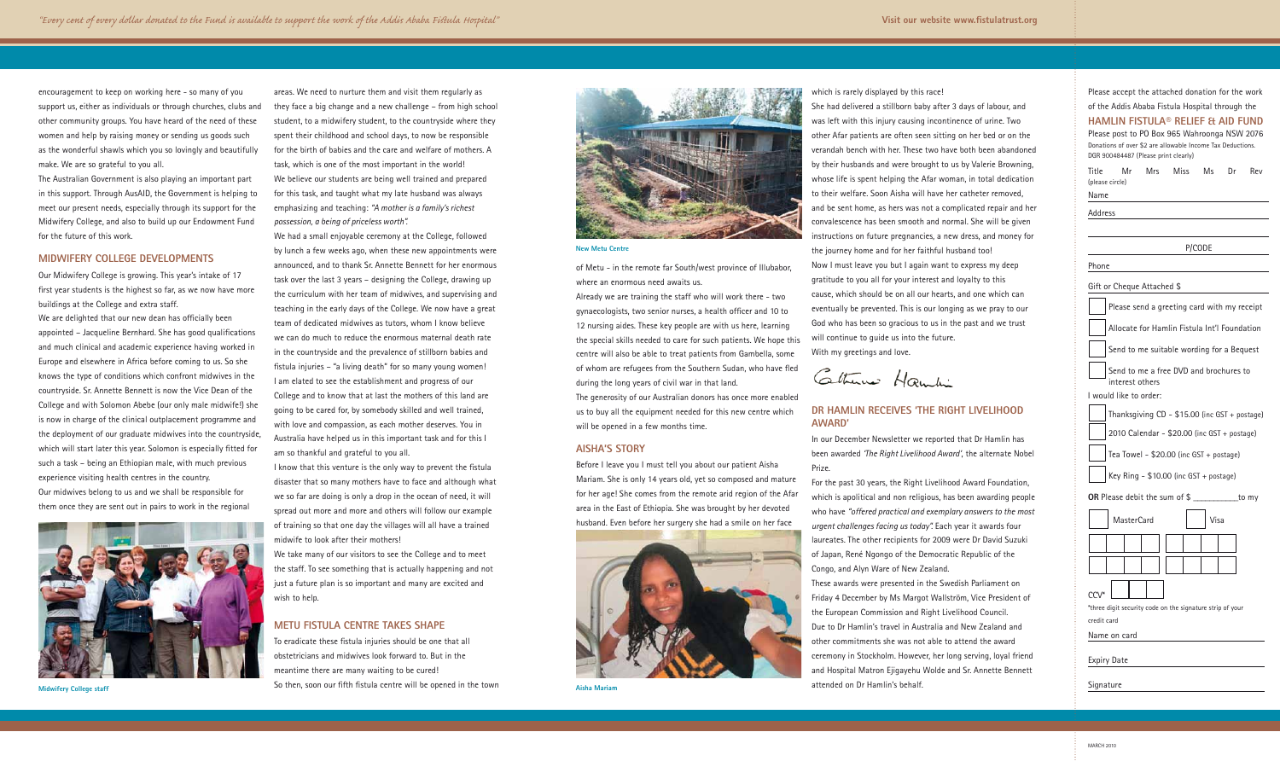encouragement to keep on working here - so many of you support us, either as individuals or through churches, clubs and other community groups. You have heard of the need of these women and help by raising money or sending us goods such as the wonderful shawls which you so lovingly and beautifully make. We are so grateful to you all.

The Australian Government is also playing an important part in this support. Through AusAID, the Government is helping to meet our present needs, especially through its support for the Midwifery College, and also to build up our Endowment Fund for the future of this work.

#### **Midwifery College developments**

Our Midwifery College is growing. This year's intake of 17 first year students is the highest so far, as we now have more buildings at the College and extra staff.

We are delighted that our new dean has officially been appointed – Jacqueline Bernhard. She has good qualifications and much clinical and academic experience having worked in Europe and elsewhere in Africa before coming to us. So she knows the type of conditions which confront midwives in the countryside. Sr. Annette Bennett is now the Vice Dean of the College and with Solomon Abebe (our only male midwife!) she is now in charge of the clinical outplacement programme and the deployment of our graduate midwives into the countryside, which will start later this year. Solomon is especially fitted for such a task – being an Ethiopian male, with much previous experience visiting health centres in the country. Our midwives belong to us and we shall be responsible for them once they are sent out in pairs to work in the regional



**Midwifery College staff**

areas. We need to nurture them and visit them regularly as they face a big change and a new challenge – from high school student, to a midwifery student, to the countryside where they spent their childhood and school days, to now be responsible for the birth of babies and the care and welfare of mothers. A task, which is one of the most important in the world! We believe our students are being well trained and prepared for this task, and taught what my late husband was always emphasizing and teaching: *"A mother is a family's richest possession, a being of priceless worth".*

We had a small enjoyable ceremony at the College, followed by lunch a few weeks ago, when these new appointments were announced, and to thank Sr. Annette Bennett for her enormous task over the last 3 years – designing the College, drawing up the curriculum with her team of midwives, and supervising and teaching in the early days of the College. We now have a great team of dedicated midwives as tutors, whom I know believe we can do much to reduce the enormous maternal death rate in the countryside and the prevalence of stillborn babies and fistula injuries – "a living death" for so many young women! I am elated to see the establishment and progress of our College and to know that at last the mothers of this land are going to be cared for, by somebody skilled and well trained, with love and compassion, as each mother deserves. You in Australia have helped us in this important task and for this I am so thankful and grateful to you all.

I know that this venture is the only way to prevent the fistula disaster that so many mothers have to face and although what we so far are doing is only a drop in the ocean of need, it will spread out more and more and others will follow our example of training so that one day the villages will all have a trained midwife to look after their mothers!

We take many of our visitors to see the College and to meet the staff. To see something that is actually happening and not just a future plan is so important and many are excited and wish to help.

#### **Metu Fistula Centre takes shape**

To eradicate these fistula injuries should be one that all obstetricians and midwives look forward to. But in the meantime there are many waiting to be cured! So then, soon our fifth fistula centre will be opened in the town